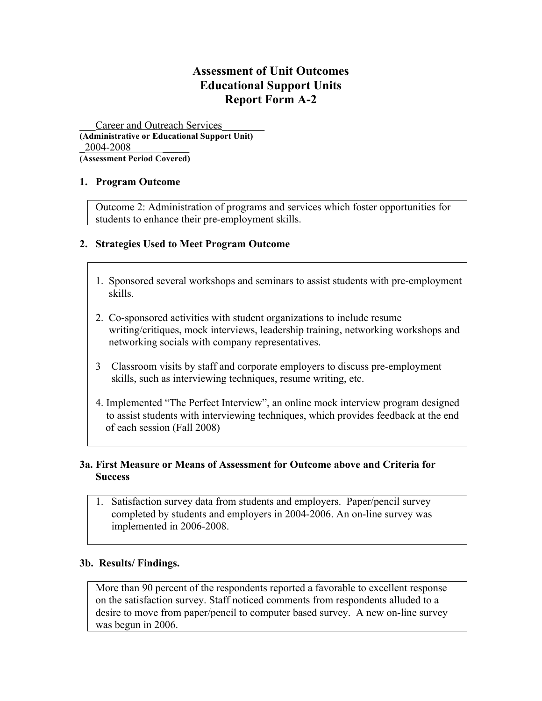# **Assessment of Unit Outcomes Educational Support Units Report Form A-2**

Career and Outreach Services **(Administrative or Educational Support Unit)** 2004-2008

**(Assessment Period Covered)**

### **1. Program Outcome**

Outcome 2: Administration of programs and services which foster opportunities for students to enhance their pre-employment skills.

# **2. Strategies Used to Meet Program Outcome**

- 1. Sponsored several workshops and seminars to assist students with pre-employment skills.
- 2. Co-sponsored activities with student organizations to include resume writing/critiques, mock interviews, leadership training, networking workshops and networking socials with company representatives.
- 3 Classroom visits by staff and corporate employers to discuss pre-employment skills, such as interviewing techniques, resume writing, etc.
- 4. Implemented "The Perfect Interview", an online mock interview program designed to assist students with interviewing techniques, which provides feedback at the end of each session (Fall 2008)

# **3a. First Measure or Means of Assessment for Outcome above and Criteria for Success**

1. Satisfaction survey data from students and employers. Paper/pencil survey completed by students and employers in 2004-2006. An on-line survey was implemented in 2006-2008.

### **3b. Results/ Findings.**

More than 90 percent of the respondents reported a favorable to excellent response on the satisfaction survey. Staff noticed comments from respondents alluded to a desire to move from paper/pencil to computer based survey. A new on-line survey was begun in 2006.